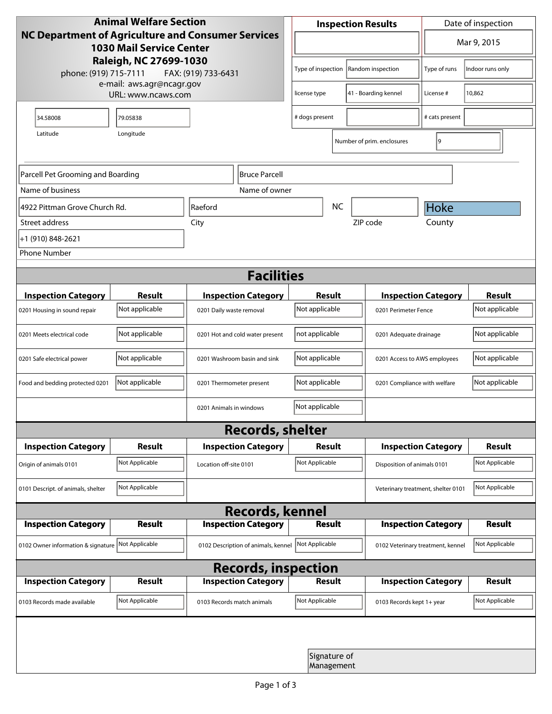| <b>Animal Welfare Section</b><br><b>NC Department of Agriculture and Consumer Services</b><br><b>1030 Mail Service Center</b> |                                 |                                     | <b>Inspection Results</b>                |                            |                                                    | Date of inspection |                          |  |
|-------------------------------------------------------------------------------------------------------------------------------|---------------------------------|-------------------------------------|------------------------------------------|----------------------------|----------------------------------------------------|--------------------|--------------------------|--|
|                                                                                                                               |                                 |                                     | $\blacktriangledown$                     |                            |                                                    | Mar 9, 2015        |                          |  |
| Raleigh, NC 27699-1030<br>phone: (919) 715-7111<br>FAX: (919) 733-6431                                                        |                                 |                                     | Type of inspection<br>Random inspection  |                            | Type of runs                                       | Indoor runs only   |                          |  |
| e-mail: aws.agr@ncagr.gov<br>URL: www.ncaws.com                                                                               |                                 |                                     | 41 - Boarding kennel<br>license type     |                            | License #                                          | 10,862             |                          |  |
| 34.58008                                                                                                                      | 79.05838                        |                                     | # dogs present                           |                            |                                                    | # cats present     |                          |  |
| Latitude                                                                                                                      | Longitude                       |                                     |                                          |                            | Number of prim. enclosures                         | 9                  |                          |  |
| Parcell Pet Grooming and Boarding<br>Bruce Parcell                                                                            |                                 |                                     |                                          |                            |                                                    |                    |                          |  |
| Name of business                                                                                                              |                                 | Name of owner                       |                                          |                            |                                                    |                    |                          |  |
| 4922 Pittman Grove Church Rd.                                                                                                 |                                 | Raeford                             | <b>NC</b>                                |                            |                                                    | Hoke               |                          |  |
| Street address                                                                                                                |                                 | City                                | ZIP code                                 |                            |                                                    | County             |                          |  |
| +1 (910) 848-2621                                                                                                             |                                 |                                     |                                          |                            |                                                    |                    |                          |  |
| <b>Phone Number</b>                                                                                                           |                                 |                                     |                                          |                            |                                                    |                    |                          |  |
| <b>Facilities</b>                                                                                                             |                                 |                                     |                                          |                            |                                                    |                    |                          |  |
|                                                                                                                               |                                 |                                     |                                          |                            |                                                    |                    |                          |  |
| <b>Inspection Category</b>                                                                                                    | <b>Result</b><br>Not applicable | <b>Inspection Category</b>          | Result<br>Not applicable                 |                            | <b>Inspection Category</b><br>0201 Perimeter Fence |                    | Result<br>Not applicable |  |
| 0201 Housing in sound repair                                                                                                  |                                 | 0201 Daily waste removal            |                                          |                            |                                                    |                    |                          |  |
| 0201 Meets electrical code                                                                                                    | Not applicable                  | 0201 Hot and cold water present     | not applicable<br>0201 Adequate drainage |                            |                                                    | Not applicable     |                          |  |
| 0201 Safe electrical power                                                                                                    | Not applicable                  | 0201 Washroom basin and sink        | Not applicable                           |                            | 0201 Access to AWS employees                       |                    | Not applicable           |  |
| Food and bedding protected 0201                                                                                               | Not applicable                  | 0201 Thermometer present            | Not applicable                           |                            | 0201 Compliance with welfare                       |                    | Not applicable           |  |
|                                                                                                                               |                                 | 0201 Animals in windows             | Not applicable                           |                            |                                                    |                    |                          |  |
|                                                                                                                               |                                 | <b>Records, shelter</b>             |                                          |                            |                                                    |                    |                          |  |
| <b>Inspection Category</b>                                                                                                    | Result                          | <b>Inspection Category</b>          | Result                                   |                            | <b>Inspection Category</b>                         |                    | <b>Result</b>            |  |
| Origin of animals 0101                                                                                                        | Not Applicable                  | Location off-site 0101              | Not Applicable                           |                            | Disposition of animals 0101                        |                    | Not Applicable           |  |
| 0101 Descript. of animals, shelter                                                                                            | Not Applicable                  |                                     | Veterinary treatment, shelter 0101       |                            |                                                    | Not Applicable     |                          |  |
| <b>Records, kennel</b>                                                                                                        |                                 |                                     |                                          |                            |                                                    |                    |                          |  |
| <b>Inspection Category</b>                                                                                                    | <b>Result</b>                   | <b>Inspection Category</b>          | <b>Result</b>                            |                            | <b>Inspection Category</b>                         |                    | <b>Result</b>            |  |
| 0102 Owner information & signature                                                                                            | Not Applicable                  | 0102 Description of animals, kennel | Not Applicable                           |                            | 0102 Veterinary treatment, kennel                  |                    | Not Applicable           |  |
| <b>Records, inspection</b>                                                                                                    |                                 |                                     |                                          |                            |                                                    |                    |                          |  |
| <b>Inspection Category</b>                                                                                                    | Result                          | <b>Inspection Category</b>          | Result                                   |                            | <b>Inspection Category</b>                         |                    | <b>Result</b>            |  |
| 0103 Records made available                                                                                                   | Not Applicable                  | 0103 Records match animals          | Not Applicable                           |                            | 0103 Records kept 1+ year                          |                    | Not Applicable           |  |
|                                                                                                                               |                                 |                                     |                                          |                            |                                                    |                    |                          |  |
|                                                                                                                               |                                 |                                     |                                          | Signature of<br>Management |                                                    |                    |                          |  |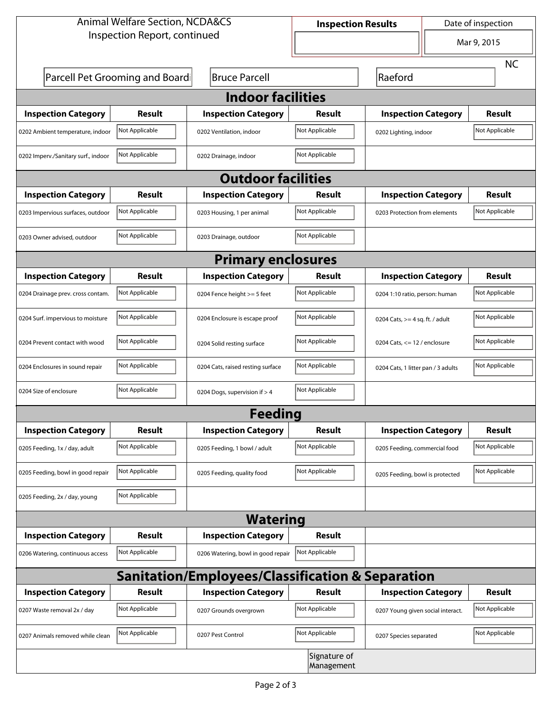| <b>Animal Welfare Section, NCDA&amp;CS</b>                  |                                 |                                    | Date of inspection<br><b>Inspection Results</b> |                                         |  |                |  |
|-------------------------------------------------------------|---------------------------------|------------------------------------|-------------------------------------------------|-----------------------------------------|--|----------------|--|
| Inspection Report, continued                                |                                 |                                    |                                                 | $\blacktriangledown$                    |  | Mar 9, 2015    |  |
|                                                             |                                 |                                    |                                                 |                                         |  | <b>NC</b>      |  |
|                                                             | Parcell Pet Grooming and Boardi | <b>Bruce Parcell</b>               |                                                 | Raeford                                 |  |                |  |
| <b>Indoor facilities</b>                                    |                                 |                                    |                                                 |                                         |  |                |  |
| <b>Inspection Category</b>                                  | Result                          | <b>Inspection Category</b>         | Result                                          | <b>Inspection Category</b>              |  | <b>Result</b>  |  |
| 0202 Ambient temperature, indoor                            | Not Applicable                  | 0202 Ventilation, indoor           | Not Applicable                                  | Not Applicable<br>0202 Lighting, indoor |  |                |  |
| 0202 Imperv./Sanitary surf., indoor                         | Not Applicable                  | 0202 Drainage, indoor              | Not Applicable                                  |                                         |  |                |  |
| <b>Outdoor facilities</b>                                   |                                 |                                    |                                                 |                                         |  |                |  |
| <b>Inspection Category</b>                                  | Result                          | <b>Inspection Category</b>         | Result                                          | <b>Inspection Category</b>              |  | <b>Result</b>  |  |
| 0203 Impervious surfaces, outdoor                           | Not Applicable                  | 0203 Housing, 1 per animal         | Not Applicable                                  | 0203 Protection from elements           |  | Not Applicable |  |
| 0203 Owner advised, outdoor                                 | Not Applicable                  | 0203 Drainage, outdoor             | Not Applicable                                  |                                         |  |                |  |
| <b>Primary enclosures</b>                                   |                                 |                                    |                                                 |                                         |  |                |  |
| <b>Inspection Category</b>                                  | Result                          | <b>Inspection Category</b>         | Result                                          | <b>Inspection Category</b>              |  | Result         |  |
| 0204 Drainage prev. cross contam.                           | Not Applicable                  | 0204 Fence height >= 5 feet        | Not Applicable                                  | 0204 1:10 ratio, person: human          |  | Not Applicable |  |
| 0204 Surf. impervious to moisture                           | Not Applicable                  | 0204 Enclosure is escape proof     | Not Applicable                                  | 0204 Cats, $>=$ 4 sq. ft. / adult       |  | Not Applicable |  |
| 0204 Prevent contact with wood                              | Not Applicable                  | 0204 Solid resting surface         | Not Applicable                                  | 0204 Cats, <= 12 / enclosure            |  | Not Applicable |  |
| 0204 Enclosures in sound repair                             | Not Applicable                  | 0204 Cats, raised resting surface  | Not Applicable                                  | 0204 Cats, 1 litter pan / 3 adults      |  | Not Applicable |  |
| 0204 Size of enclosure                                      | Not Applicable                  | 0204 Dogs, supervision if > 4      | Not Applicable                                  |                                         |  |                |  |
| <b>Feeding</b>                                              |                                 |                                    |                                                 |                                         |  |                |  |
| <b>Inspection Category</b>                                  | <b>Result</b>                   | <b>Inspection Category</b>         | Result                                          | <b>Inspection Category</b>              |  | Result         |  |
| 0205 Feeding, 1x / day, adult                               | Not Applicable                  | 0205 Feeding, 1 bowl / adult       | Not Applicable                                  | 0205 Feeding, commercial food           |  | Not Applicable |  |
| 0205 Feeding, bowl in good repair                           | Not Applicable                  | 0205 Feeding, quality food         | Not Applicable                                  | 0205 Feeding, bowl is protected         |  | Not Applicable |  |
| 0205 Feeding, 2x / day, young                               | Not Applicable                  |                                    |                                                 |                                         |  |                |  |
| <b>Watering</b>                                             |                                 |                                    |                                                 |                                         |  |                |  |
| <b>Inspection Category</b>                                  | <b>Result</b>                   | <b>Inspection Category</b>         | Result                                          |                                         |  |                |  |
| 0206 Watering, continuous access                            | Not Applicable                  | 0206 Watering, bowl in good repair | Not Applicable                                  |                                         |  |                |  |
| <b>Sanitation/Employees/Classification &amp; Separation</b> |                                 |                                    |                                                 |                                         |  |                |  |
| <b>Inspection Category</b>                                  | <b>Result</b>                   | <b>Inspection Category</b>         | Result                                          | <b>Inspection Category</b>              |  | Result         |  |
| 0207 Waste removal 2x / day                                 | Not Applicable                  | 0207 Grounds overgrown             | Not Applicable                                  | 0207 Young given social interact.       |  | Not Applicable |  |
| 0207 Animals removed while clean                            | Not Applicable                  | 0207 Pest Control                  | Not Applicable                                  | 0207 Species separated                  |  | Not Applicable |  |
| Signature of<br>Management                                  |                                 |                                    |                                                 |                                         |  |                |  |